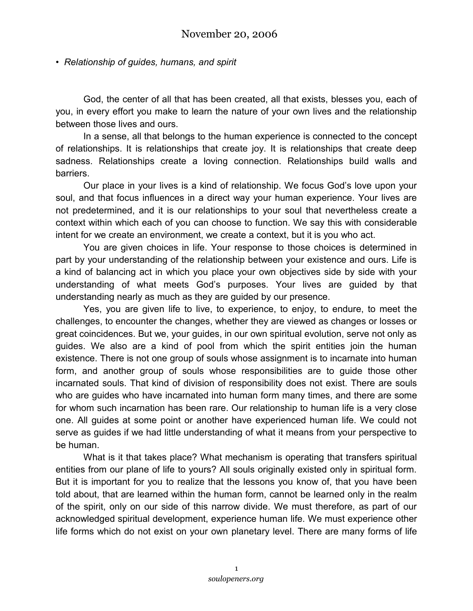## *• Relationship of guides, humans, and spirit*

God, the center of all that has been created, all that exists, blesses you, each of you, in every effort you make to learn the nature of your own lives and the relationship between those lives and ours.

In a sense, all that belongs to the human experience is connected to the concept of relationships. It is relationships that create joy. It is relationships that create deep sadness. Relationships create a loving connection. Relationships build walls and barriers.

Our place in your lives is a kind of relationship. We focus God's love upon your soul, and that focus influences in a direct way your human experience. Your lives are not predetermined, and it is our relationships to your soul that nevertheless create a context within which each of you can choose to function. We say this with considerable intent for we create an environment, we create a context, but it is you who act.

You are given choices in life. Your response to those choices is determined in part by your understanding of the relationship between your existence and ours. Life is a kind of balancing act in which you place your own objectives side by side with your understanding of what meets God's purposes. Your lives are guided by that understanding nearly as much as they are guided by our presence.

Yes, you are given life to live, to experience, to enjoy, to endure, to meet the challenges, to encounter the changes, whether they are viewed as changes or losses or great coincidences. But we, your guides, in our own spiritual evolution, serve not only as guides. We also are a kind of pool from which the spirit entities join the human existence. There is not one group of souls whose assignment is to incarnate into human form, and another group of souls whose responsibilities are to guide those other incarnated souls. That kind of division of responsibility does not exist. There are souls who are guides who have incarnated into human form many times, and there are some for whom such incarnation has been rare. Our relationship to human life is a very close one. All guides at some point or another have experienced human life. We could not serve as guides if we had little understanding of what it means from your perspective to be human.

What is it that takes place? What mechanism is operating that transfers spiritual entities from our plane of life to yours? All souls originally existed only in spiritual form. But it is important for you to realize that the lessons you know of, that you have been told about, that are learned within the human form, cannot be learned only in the realm of the spirit, only on our side of this narrow divide. We must therefore, as part of our acknowledged spiritual development, experience human life. We must experience other life forms which do not exist on your own planetary level. There are many forms of life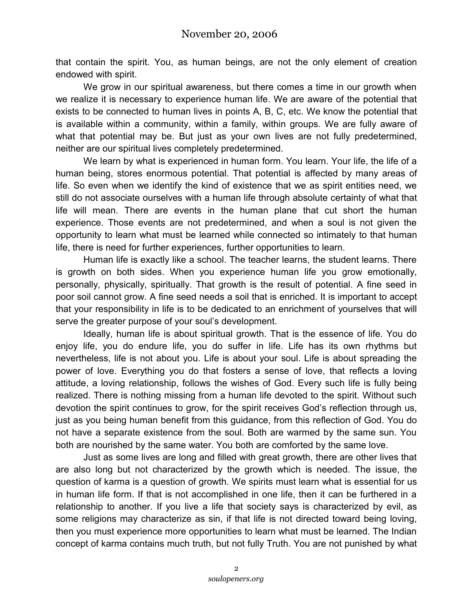that contain the spirit. You, as human beings, are not the only element of creation endowed with spirit.

We grow in our spiritual awareness, but there comes a time in our growth when we realize it is necessary to experience human life. We are aware of the potential that exists to be connected to human lives in points A, B, C, etc. We know the potential that is available within a community, within a family, within groups. We are fully aware of what that potential may be. But just as your own lives are not fully predetermined, neither are our spiritual lives completely predetermined.

We learn by what is experienced in human form. You learn. Your life, the life of a human being, stores enormous potential. That potential is affected by many areas of life. So even when we identify the kind of existence that we as spirit entities need, we still do not associate ourselves with a human life through absolute certainty of what that life will mean. There are events in the human plane that cut short the human experience. Those events are not predetermined, and when a soul is not given the opportunity to learn what must be learned while connected so intimately to that human life, there is need for further experiences, further opportunities to learn.

Human life is exactly like a school. The teacher learns, the student learns. There is growth on both sides. When you experience human life you grow emotionally, personally, physically, spiritually. That growth is the result of potential. A fine seed in poor soil cannot grow. A fine seed needs a soil that is enriched. It is important to accept that your responsibility in life is to be dedicated to an enrichment of yourselves that will serve the greater purpose of your soul's development.

Ideally, human life is about spiritual growth. That is the essence of life. You do enjoy life, you do endure life, you do suffer in life. Life has its own rhythms but nevertheless, life is not about you. Life is about your soul. Life is about spreading the power of love. Everything you do that fosters a sense of love, that reflects a loving attitude, a loving relationship, follows the wishes of God. Every such life is fully being realized. There is nothing missing from a human life devoted to the spirit. Without such devotion the spirit continues to grow, for the spirit receives God's reflection through us, just as you being human benefit from this guidance, from this reflection of God. You do not have a separate existence from the soul. Both are warmed by the same sun. You both are nourished by the same water. You both are comforted by the same love.

Just as some lives are long and filled with great growth, there are other lives that are also long but not characterized by the growth which is needed. The issue, the question of karma is a question of growth. We spirits must learn what is essential for us in human life form. If that is not accomplished in one life, then it can be furthered in a relationship to another. If you live a life that society says is characterized by evil, as some religions may characterize as sin, if that life is not directed toward being loving, then you must experience more opportunities to learn what must be learned. The Indian concept of karma contains much truth, but not fully Truth. You are not punished by what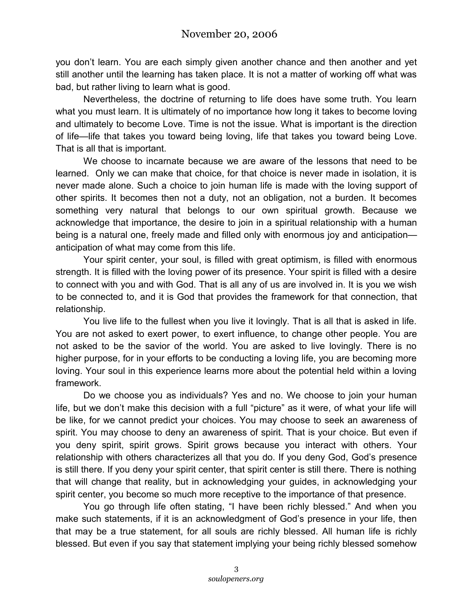you don't learn. You are each simply given another chance and then another and yet still another until the learning has taken place. It is not a matter of working off what was bad, but rather living to learn what is good.

Nevertheless, the doctrine of returning to life does have some truth. You learn what you must learn. It is ultimately of no importance how long it takes to become loving and ultimately to become Love. Time is not the issue. What is important is the direction of life—life that takes you toward being loving, life that takes you toward being Love. That is all that is important.

We choose to incarnate because we are aware of the lessons that need to be learned. Only we can make that choice, for that choice is never made in isolation, it is never made alone. Such a choice to join human life is made with the loving support of other spirits. It becomes then not a duty, not an obligation, not a burden. It becomes something very natural that belongs to our own spiritual growth. Because we acknowledge that importance, the desire to join in a spiritual relationship with a human being is a natural one, freely made and filled only with enormous joy and anticipation anticipation of what may come from this life.

Your spirit center, your soul, is filled with great optimism, is filled with enormous strength. It is filled with the loving power of its presence. Your spirit is filled with a desire to connect with you and with God. That is all any of us are involved in. It is you we wish to be connected to, and it is God that provides the framework for that connection, that relationship.

You live life to the fullest when you live it lovingly. That is all that is asked in life. You are not asked to exert power, to exert influence, to change other people. You are not asked to be the savior of the world. You are asked to live lovingly. There is no higher purpose, for in your efforts to be conducting a loving life, you are becoming more loving. Your soul in this experience learns more about the potential held within a loving framework.

Do we choose you as individuals? Yes and no. We choose to join your human life, but we don't make this decision with a full "picture" as it were, of what your life will be like, for we cannot predict your choices. You may choose to seek an awareness of spirit. You may choose to deny an awareness of spirit. That is your choice. But even if you deny spirit, spirit grows. Spirit grows because you interact with others. Your relationship with others characterizes all that you do. If you deny God, God's presence is still there. If you deny your spirit center, that spirit center is still there. There is nothing that will change that reality, but in acknowledging your guides, in acknowledging your spirit center, you become so much more receptive to the importance of that presence.

You go through life often stating, "I have been richly blessed." And when you make such statements, if it is an acknowledgment of God's presence in your life, then that may be a true statement, for all souls are richly blessed. All human life is richly blessed. But even if you say that statement implying your being richly blessed somehow